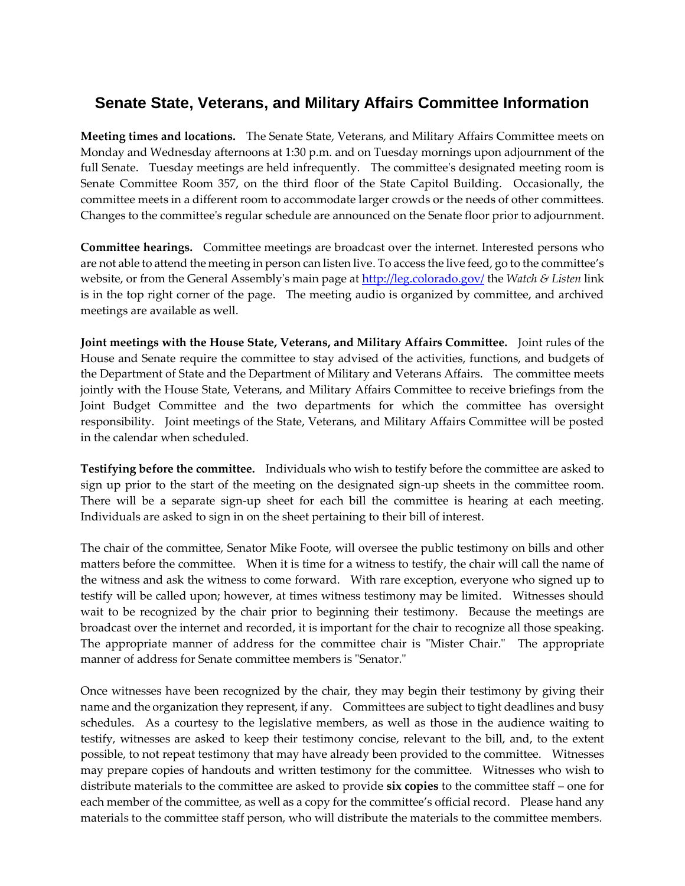## **Senate State, Veterans, and Military Affairs Committee Information**

**Meeting times and locations.** The Senate State, Veterans, and Military Affairs Committee meets on Monday and Wednesday afternoons at 1:30 p.m. and on Tuesday mornings upon adjournment of the full Senate. Tuesday meetings are held infrequently. The committee's designated meeting room is Senate Committee Room 357, on the third floor of the State Capitol Building. Occasionally, the committee meets in a different room to accommodate larger crowds or the needs of other committees. Changes to the committee's regular schedule are announced on the Senate floor prior to adjournment.

**Committee hearings.**Committee meetings are broadcast over the internet. Interested persons who are not able to attend the meeting in person can listen live. To access the live feed, go to the committee's website, or from the General Assembly's main page a[t http://leg.colorado.gov/](http://leg.colorado.gov/) the *Watch & Listen* link is in the top right corner of the page. The meeting audio is organized by committee, and archived meetings are available as well.

**Joint meetings with the House State, Veterans, and Military Affairs Committee.**Joint rules of the House and Senate require the committee to stay advised of the activities, functions, and budgets of the Department of State and the Department of Military and Veterans Affairs. The committee meets jointly with the House State, Veterans, and Military Affairs Committee to receive briefings from the Joint Budget Committee and the two departments for which the committee has oversight responsibility. Joint meetings of the State, Veterans, and Military Affairs Committee will be posted in the calendar when scheduled.

**Testifying before the committee.**Individuals who wish to testify before the committee are asked to sign up prior to the start of the meeting on the designated sign-up sheets in the committee room. There will be a separate sign-up sheet for each bill the committee is hearing at each meeting. Individuals are asked to sign in on the sheet pertaining to their bill of interest.

The chair of the committee, Senator Mike Foote, will oversee the public testimony on bills and other matters before the committee. When it is time for a witness to testify, the chair will call the name of the witness and ask the witness to come forward. With rare exception, everyone who signed up to testify will be called upon; however, at times witness testimony may be limited. Witnesses should wait to be recognized by the chair prior to beginning their testimony. Because the meetings are broadcast over the internet and recorded, it is important for the chair to recognize all those speaking. The appropriate manner of address for the committee chair is "Mister Chair." The appropriate manner of address for Senate committee members is "Senator."

Once witnesses have been recognized by the chair, they may begin their testimony by giving their name and the organization they represent, if any. Committees are subject to tight deadlines and busy schedules. As a courtesy to the legislative members, as well as those in the audience waiting to testify, witnesses are asked to keep their testimony concise, relevant to the bill, and, to the extent possible, to not repeat testimony that may have already been provided to the committee. Witnesses may prepare copies of handouts and written testimony for the committee. Witnesses who wish to distribute materials to the committee are asked to provide **six copies** to the committee staff – one for each member of the committee, as well as a copy for the committee's official record. Please hand any materials to the committee staff person, who will distribute the materials to the committee members.